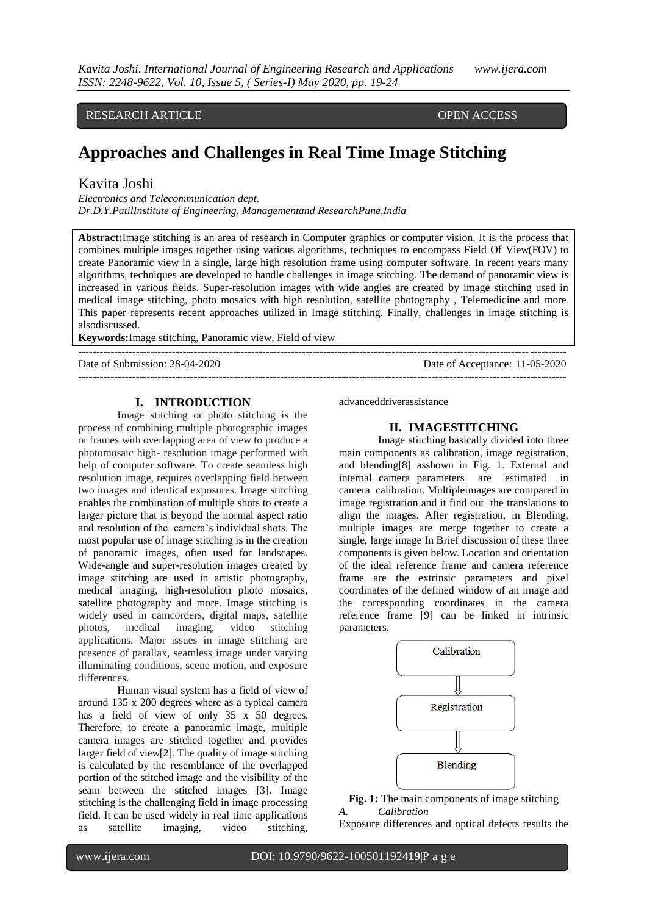RESEARCH ARTICLE **OPEN ACCESS** 

# **Approaches and Challenges in Real Time Image Stitching**

---------------------------------------------------------------------------------------------------------------------------------------

## Kavita Joshi

*Electronics and Telecommunication dept. Dr.D.Y.PatilInstitute of Engineering, Managementand ResearchPune,India*

**Abstract:**Image stitching is an area of research in Computer graphics or computer vision. It is the process that combines multiple images together using various algorithms, techniques to encompass Field Of View(FOV) to create Panoramic view in a single, large high resolution frame using computer software. In recent years many algorithms, techniques are developed to handle challenges in image stitching. The demand of panoramic view is increased in various fields. Super-resolution images with wide angles are created by image stitching used in medical image stitching, photo mosaics with high resolution, satellite photography , Telemedicine and more. This paper represents recent approaches utilized in Image stitching. Finally, challenges in image stitching is alsodiscussed.

**Keywords:**Image stitching, Panoramic view, Field of view

Date of Submission: 28-04-2020 Date of Acceptance: 11-05-2020 ---------------------------------------------------------------------------------------------------------------------------------------

## **I. INTRODUCTION**

Image stitching or photo stitching is the process of combining multiple photographic images or frames with overlapping area of view to produce a photomosaic high- resolution image performed with help of computer software. To create seamless high resolution image, requires overlapping field between two images and identical exposures. Image stitching enables the combination of multiple shots to create a larger picture that is beyond the normal aspect ratio and resolution of the camera's individual shots. The most popular use of image stitching is in the creation of panoramic images, often used for landscapes. Wide-angle and super-resolution images created by image stitching are used in artistic photography, medical imaging, high-resolution photo mosaics, satellite photography and more. Image stitching is widely used in camcorders, digital maps, satellite photos, medical imaging, video stitching applications. Major issues in image stitching are presence of parallax, seamless image under varying illuminating conditions, scene motion, and exposure differences.

Human visual system has a field of view of around 135 x 200 degrees where as a typical camera has a field of view of only 35 x 50 degrees. Therefore, to create a panoramic image, multiple camera images are stitched together and provides larger field of view[2]. The quality of image stitching is calculated by the resemblance of the overlapped portion of the stitched image and the visibility of the seam between the stitched images [3]. Image stitching is the challenging field in image processing field. It can be used widely in real time applications as satellite imaging, video stitching,

advanceddriverassistance

#### **II. IMAGESTITCHING**

Image stitching basically divided into three main components as calibration, image registration, and blending[8] asshown in Fig. 1. External and internal camera parameters are estimated in camera calibration. Multipleimages are compared in image registration and it find out the translations to align the images. After registration, in Blending, multiple images are merge together to create a single, large image In Brief discussion of these three components is given below. Location and orientation of the ideal reference frame and camera reference frame are the extrinsic parameters and pixel coordinates of the defined window of an image and the corresponding coordinates in the camera reference frame [9] can be linked in intrinsic parameters.



**Fig. 1:** The main components of image stitching *A. Calibration*

Exposure differences and optical defects results the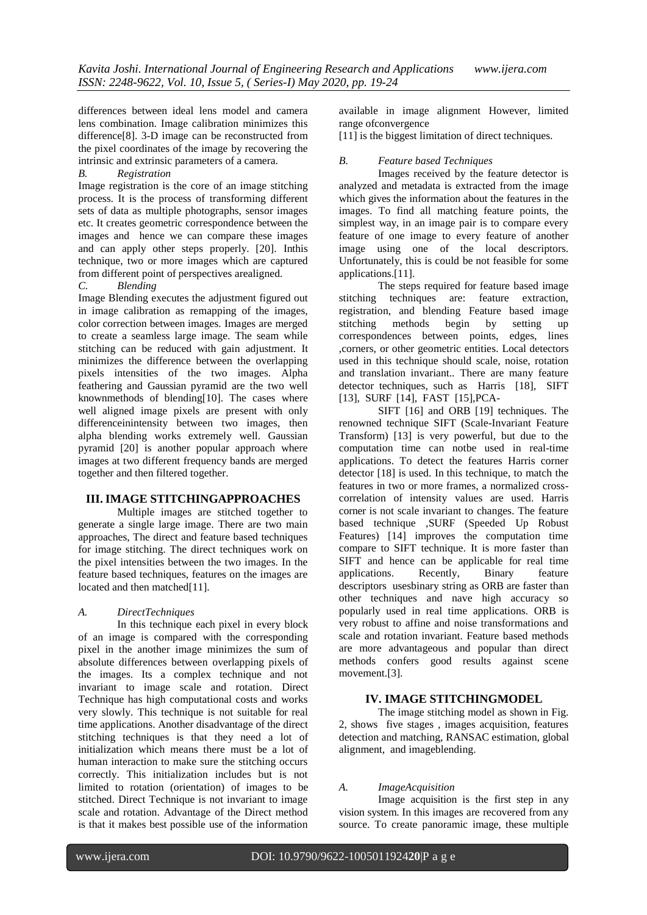differences between ideal lens model and camera lens combination. Image calibration minimizes this difference[8]. 3-D image can be reconstructed from the pixel coordinates of the image by recovering the intrinsic and extrinsic parameters of a camera.

## *B. Registration*

Image registration is the core of an image stitching process. It is the process of transforming different sets of data as multiple photographs, sensor images etc. It creates geometric correspondence between the images and hence we can compare these images and can apply other steps properly. [20]. Inthis technique, two or more images which are captured from different point of perspectives arealigned.

#### *C. Blending*

Image Blending executes the adjustment figured out in image calibration as remapping of the images, color correction between images. Images are merged to create a seamless large image. The seam while stitching can be reduced with gain adjustment. It minimizes the difference between the overlapping pixels intensities of the two images. Alpha feathering and Gaussian pyramid are the two well knownmethods of blending[10]. The cases where well aligned image pixels are present with only differenceinintensity between two images, then alpha blending works extremely well. Gaussian pyramid [20] is another popular approach where images at two different frequency bands are merged together and then filtered together.

#### **III. IMAGE STITCHINGAPPROACHES**

Multiple images are stitched together to generate a single large image. There are two main approaches, The direct and feature based techniques for image stitching. The direct techniques work on the pixel intensities between the two images. In the feature based techniques, features on the images are located and then matched[11].

#### *A. DirectTechniques*

In this technique each pixel in every block of an image is compared with the corresponding pixel in the another image minimizes the sum of absolute differences between overlapping pixels of the images. Its a complex technique and not invariant to image scale and rotation. Direct Technique has high computational costs and works very slowly. This technique is not suitable for real time applications. Another disadvantage of the direct stitching techniques is that they need a lot of initialization which means there must be a lot of human interaction to make sure the stitching occurs correctly. This initialization includes but is not limited to rotation (orientation) of images to be stitched. Direct Technique is not invariant to image scale and rotation. Advantage of the Direct method is that it makes best possible use of the information

available in image alignment However, limited range ofconvergence

[11] is the biggest limitation of direct techniques.

## *B. Feature based Techniques*

Images received by the feature detector is analyzed and metadata is extracted from the image which gives the information about the features in the images. To find all matching feature points, the simplest way, in an image pair is to compare every feature of one image to every feature of another image using one of the local descriptors. Unfortunately, this is could be not feasible for some applications.[11].

The steps required for feature based image stitching techniques are: feature extraction, registration, and blending Feature based image stitching methods begin by setting up correspondences between points, edges, lines ,corners, or other geometric entities. Local detectors used in this technique should scale, noise, rotation and translation invariant.. There are many feature detector techniques, such as Harris [18], SIFT [13], SURF [14], FAST [15],PCA-

SIFT [16] and ORB [19] techniques. The renowned technique SIFT (Scale-Invariant Feature Transform) [13] is very powerful, but due to the computation time can notbe used in real-time applications. To detect the features Harris corner detector [18] is used. In this technique, to match the features in two or more frames, a normalized crosscorrelation of intensity values are used. Harris corner is not scale invariant to changes. The feature based technique ,SURF (Speeded Up Robust Features) [14] improves the computation time compare to SIFT technique. It is more faster than SIFT and hence can be applicable for real time applications. Recently, Binary feature descriptors usesbinary string as ORB are faster than other techniques and nave high accuracy so popularly used in real time applications. ORB is very robust to affine and noise transformations and scale and rotation invariant. Feature based methods are more advantageous and popular than direct methods confers good results against scene movement.[3].

## **IV. IMAGE STITCHINGMODEL**

The image stitching model as shown in Fig. 2, shows five stages , images acquisition, features detection and matching, RANSAC estimation, global alignment, and imageblending.

#### *A. ImageAcquisition*

Image acquisition is the first step in any vision system. In this images are recovered from any source. To create panoramic image, these multiple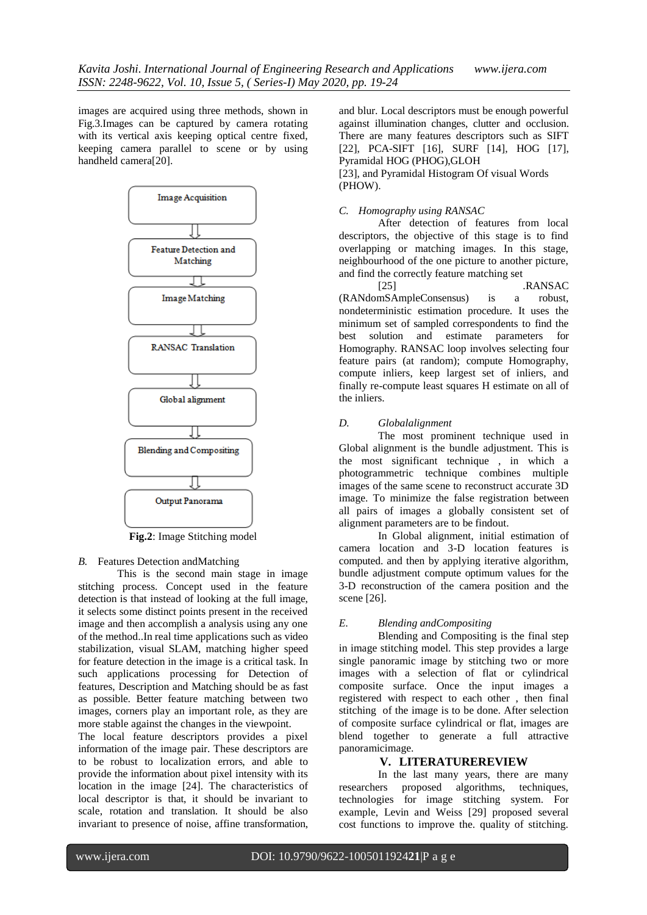images are acquired using three methods, shown in Fig.3.Images can be captured by camera rotating with its vertical axis keeping optical centre fixed, keeping camera parallel to scene or by using handheld camera[20].



**Fig.2**: Image Stitching model

#### *B.* Features Detection andMatching

This is the second main stage in image stitching process. Concept used in the feature detection is that instead of looking at the full image, it selects some distinct points present in the received image and then accomplish a analysis using any one of the method..In real time applications such as video stabilization, visual SLAM, matching higher speed for feature detection in the image is a critical task. In such applications processing for Detection of features, Description and Matching should be as fast as possible. Better feature matching between two images, corners play an important role, as they are more stable against the changes in the viewpoint.

The local feature descriptors provides a pixel information of the image pair. These descriptors are to be robust to localization errors, and able to provide the information about pixel intensity with its location in the image [24]. The characteristics of local descriptor is that, it should be invariant to scale, rotation and translation. It should be also invariant to presence of noise, affine transformation,

and blur. Local descriptors must be enough powerful against illumination changes, clutter and occlusion. There are many features descriptors such as SIFT [22], PCA-SIFT [16], SURF [14], HOG [17], Pyramidal HOG (PHOG),GLOH

[23], and Pyramidal Histogram Of visual Words (PHOW).

## *C. Homography using RANSAC*

After detection of features from local descriptors, the objective of this stage is to find overlapping or matching images. In this stage, neighbourhood of the one picture to another picture, and find the correctly feature matching set

[25] .RANSAC (RANdomSAmpleConsensus) is a robust, nondeterministic estimation procedure. It uses the minimum set of sampled correspondents to find the best solution and estimate parameters for Homography. RANSAC loop involves selecting four feature pairs (at random); compute Homography, compute inliers, keep largest set of inliers, and finally re-compute least squares H estimate on all of the inliers.

## *D. Globalalignment*

The most prominent technique used in Global alignment is the bundle adjustment. This is the most significant technique , in which a photogrammetric technique combines multiple images of the same scene to reconstruct accurate 3D image. To minimize the false registration between all pairs of images a globally consistent set of alignment parameters are to be findout.

In Global alignment, initial estimation of camera location and 3-D location features is computed. and then by applying iterative algorithm, bundle adjustment compute optimum values for the 3-D reconstruction of the camera position and the scene [26].

## *E. Blending andCompositing*

Blending and Compositing is the final step in image stitching model. This step provides a large single panoramic image by stitching two or more images with a selection of flat or cylindrical composite surface. Once the input images a registered with respect to each other , then final stitching of the image is to be done. After selection of composite surface cylindrical or flat, images are blend together to generate a full attractive panoramicimage.

### **V. LITERATUREREVIEW**

In the last many years, there are many researchers proposed algorithms, techniques, technologies for image stitching system. For example, Levin and Weiss [29] proposed several cost functions to improve the. quality of stitching.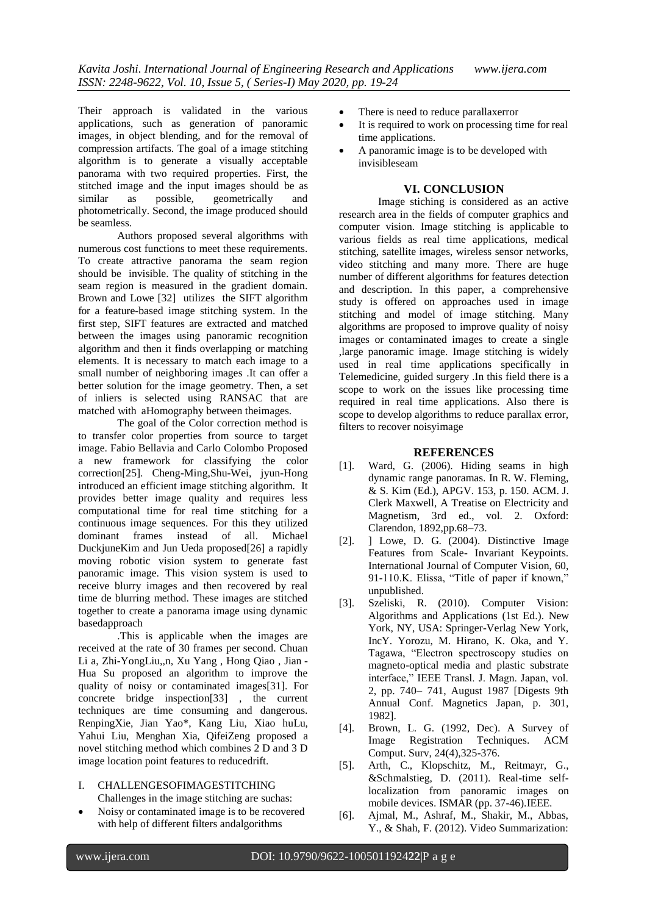Their approach is validated in the various applications, such as generation of panoramic images, in object blending, and for the removal of compression artifacts. The goal of a image stitching algorithm is to generate a visually acceptable panorama with two required properties. First, the stitched image and the input images should be as<br>similar as possible. geometrically and similar as possible, geometrically and photometrically. Second, the image produced should be seamless.

Authors proposed several algorithms with numerous cost functions to meet these requirements. To create attractive panorama the seam region should be invisible. The quality of stitching in the seam region is measured in the gradient domain. Brown and Lowe [32] utilizes the SIFT algorithm for a feature-based image stitching system. In the first step, SIFT features are extracted and matched between the images using panoramic recognition algorithm and then it finds overlapping or matching elements. It is necessary to match each image to a small number of neighboring images .It can offer a better solution for the image geometry. Then, a set of inliers is selected using RANSAC that are matched with aHomography between theimages.

The goal of the Color correction method is to transfer color properties from source to target image. Fabio Bellavia and Carlo Colombo Proposed a new framework for classifying the color correction[25]. Cheng-Ming,Shu-Wei, jyun-Hong introduced an efficient image stitching algorithm. It provides better image quality and requires less computational time for real time stitching for a continuous image sequences. For this they utilized dominant frames instead of all. Michael DuckjuneKim and Jun Ueda proposed[26] a rapidly moving robotic vision system to generate fast panoramic image. This vision system is used to receive blurry images and then recovered by real time de blurring method. These images are stitched together to create a panorama image using dynamic basedapproach

.This is applicable when the images are received at the rate of 30 frames per second. Chuan Li a, Zhi-YongLiu,,n, Xu Yang , Hong Qiao , Jian - Hua Su proposed an algorithm to improve the quality of noisy or contaminated images[31]. For concrete bridge inspection[33] , the current techniques are time consuming and dangerous. RenpingXie, Jian Yao\*, Kang Liu, Xiao huLu, Yahui Liu, Menghan Xia, QifeiZeng proposed a novel stitching method which combines 2 D and 3 D image location point features to reducedrift.

- I. CHALLENGESOFIMAGESTITCHING Challenges in the image stitching are suchas:
- Noisy or contaminated image is to be recovered with help of different filters andalgorithms
- There is need to reduce parallaxerror
- It is required to work on processing time for real time applications.
- A panoramic image is to be developed with invisibleseam

## **VI. CONCLUSION**

Image stiching is considered as an active research area in the fields of computer graphics and computer vision. Image stitching is applicable to various fields as real time applications, medical stitching, satellite images, wireless sensor networks, video stitching and many more. There are huge number of different algorithms for features detection and description. In this paper, a comprehensive study is offered on approaches used in image stitching and model of image stitching. Many algorithms are proposed to improve quality of noisy images or contaminated images to create a single ,large panoramic image. Image stitching is widely used in real time applications specifically in Telemedicine, guided surgery .In this field there is a scope to work on the issues like processing time required in real time applications. Also there is scope to develop algorithms to reduce parallax error, filters to recover noisyimage

## **REFERENCES**

- [1]. Ward, G. (2006). Hiding seams in high dynamic range panoramas. In R. W. Fleming, & S. Kim (Ed.), APGV. 153, p. 150. ACM. J. Clerk Maxwell, A Treatise on Electricity and Magnetism, 3rd ed., vol. 2. Oxford: Clarendon, 1892,pp.68–73.
- [2]. ] Lowe, D. G. (2004). Distinctive Image Features from Scale- Invariant Keypoints. International Journal of Computer Vision, 60, 91-110.K. Elissa, "Title of paper if known," unpublished.
- [3]. Szeliski, R. (2010). Computer Vision: Algorithms and Applications (1st Ed.). New York, NY, USA: Springer-Verlag New York, IncY. Yorozu, M. Hirano, K. Oka, and Y. Tagawa, "Electron spectroscopy studies on magneto-optical media and plastic substrate interface," IEEE Transl. J. Magn. Japan, vol. 2, pp. 740– 741, August 1987 [Digests 9th Annual Conf. Magnetics Japan, p. 301, 1982].
- [4]. Brown, L. G. (1992, Dec). A Survey of Image Registration Techniques. ACM Comput. Surv, 24(4),325-376.
- [5]. Arth, C., Klopschitz, M., Reitmayr, G., &Schmalstieg, D. (2011). Real-time selflocalization from panoramic images on mobile devices. ISMAR (pp. 37-46).IEEE.
- [6]. Ajmal, M., Ashraf, M., Shakir, M., Abbas, Y., & Shah, F. (2012). Video Summarization: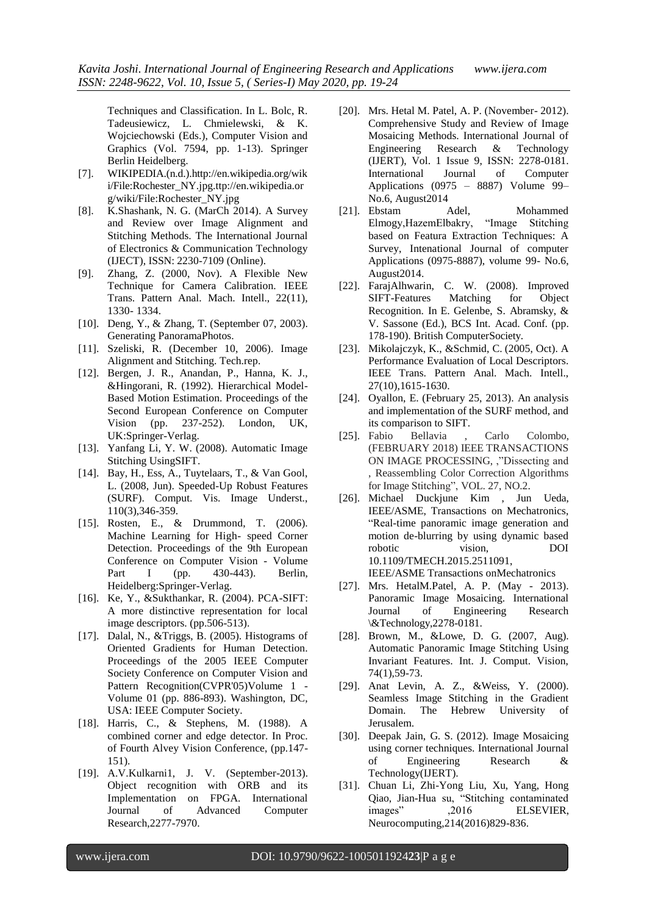Techniques and Classification. In L. Bolc, R. Tadeusiewicz, L. Chmielewski, & K. Wojciechowski (Eds.), Computer Vision and Graphics (Vol. 7594, pp. 1-13). Springer Berlin Heidelberg.

- [7]. WIKIPEDIA.(n.d.).http://en.wikipedia.org/wik i/File:Rochester\_NY.jpg.ttp://en.wikipedia.or g/wiki/File:Rochester\_NY.jpg
- [8]. K.Shashank, N. G. (MarCh 2014). A Survey and Review over Image Alignment and Stitching Methods. The International Journal of Electronics & Communication Technology (IJECT), ISSN: 2230-7109 (Online).
- [9]. Zhang, Z. (2000, Nov). A Flexible New Technique for Camera Calibration. IEEE Trans. Pattern Anal. Mach. Intell., 22(11), 1330- 1334.
- [10]. Deng, Y., & Zhang, T. (September 07, 2003). Generating PanoramaPhotos.
- [11]. Szeliski, R. (December 10, 2006). Image Alignment and Stitching. Tech.rep.
- [12]. Bergen, J. R., Anandan, P., Hanna, K. J., &Hingorani, R. (1992). Hierarchical Model-Based Motion Estimation. Proceedings of the Second European Conference on Computer Vision (pp. 237-252). London, UK, UK:Springer-Verlag.
- [13]. Yanfang Li, Y. W. (2008). Automatic Image Stitching UsingSIFT.
- [14]. Bay, H., Ess, A., Tuytelaars, T., & Van Gool, L. (2008, Jun). Speeded-Up Robust Features (SURF). Comput. Vis. Image Underst., 110(3),346-359.
- [15]. Rosten, E., & Drummond, T. (2006). Machine Learning for High- speed Corner Detection. Proceedings of the 9th European Conference on Computer Vision - Volume Part I (pp. 430-443). Berlin, Heidelberg:Springer-Verlag.
- [16]. Ke, Y., &Sukthankar, R. (2004). PCA-SIFT: A more distinctive representation for local image descriptors. (pp.506-513).
- [17]. Dalal, N., &Triggs, B. (2005). Histograms of Oriented Gradients for Human Detection. Proceedings of the 2005 IEEE Computer Society Conference on Computer Vision and Pattern Recognition(CVPR'05)Volume 1 -Volume 01 (pp. 886-893). Washington, DC, USA: IEEE Computer Society.
- [18]. Harris, C., & Stephens, M. (1988). A combined corner and edge detector. In Proc. of Fourth Alvey Vision Conference, (pp.147- 151).
- [19]. A.V.Kulkarni1, J. V. (September-2013). Object recognition with ORB and its Implementation on FPGA. International Journal of Advanced Computer Research,2277-7970.
- [20]. Mrs. Hetal M. Patel, A. P. (November- 2012). Comprehensive Study and Review of Image Mosaicing Methods. International Journal of Engineering Research & Technology (IJERT), Vol. 1 Issue 9, ISSN: 2278-0181. International Journal of Computer Applications (0975 – 8887) Volume 99– No.6, August2014
- [21]. Ebstam Adel, Mohammed Elmogy, Hazem Elbakry, based on Featura Extraction Techniques: A Survey, Intenational Journal of computer Applications (0975-8887), volume 99- No.6, August2014.
- [22]. FarajAlhwarin, C. W. (2008). Improved SIFT-Features Matching for Object Recognition. In E. Gelenbe, S. Abramsky, & V. Sassone (Ed.), BCS Int. Acad. Conf. (pp. 178-190). British ComputerSociety.
- [23]. Mikolajczyk, K., &Schmid, C. (2005, Oct). A Performance Evaluation of Local Descriptors. IEEE Trans. Pattern Anal. Mach. Intell., 27(10),1615-1630.
- [24]. Oyallon, E. (February 25, 2013). An analysis and implementation of the SURF method, and its comparison to SIFT.
- [25]. Fabio Bellavia , Carlo Colombo, (FEBRUARY 2018) IEEE TRANSACTIONS ON IMAGE PROCESSING, ,"Dissecting and , Reassembling Color Correction Algorithms for Image Stitching", VOL. 27, NO.2.
- [26]. Michael Duckjune Kim , Jun Ueda, IEEE/ASME, Transactions on Mechatronics, "Real-time panoramic image generation and motion de-blurring by using dynamic based robotic vision, DOI 10.1109/TMECH.2015.2511091,

IEEE/ASME Transactions onMechatronics

- [27]. Mrs. HetalM.Patel, A. P. (May 2013). Panoramic Image Mosaicing. International Journal of Engineering Research \&Technology,2278-0181.
- [28]. Brown, M., &Lowe, D. G. (2007, Aug). Automatic Panoramic Image Stitching Using Invariant Features. Int. J. Comput. Vision, 74(1),59-73.
- [29]. Anat Levin, A. Z., &Weiss, Y. (2000). Seamless Image Stitching in the Gradient Domain. The Hebrew University of Jerusalem.
- [30]. Deepak Jain, G. S. (2012). Image Mosaicing using corner techniques. International Journal of Engineering Research & Technology(IJERT).
- [31]. Chuan Li, Zhi-Yong Liu, Xu, Yang, Hong Qiao, Jian-Hua su, "Stitching contaminated images" ,2016 ELSEVIER, Neurocomputing,214(2016)829-836.